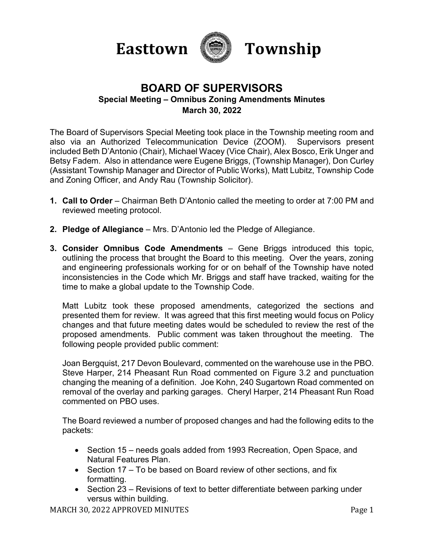



## **BOARD OF SUPERVISORS Special Meeting – Omnibus Zoning Amendments Minutes March 30, 2022**

The Board of Supervisors Special Meeting took place in the Township meeting room and also via an Authorized Telecommunication Device (ZOOM). Supervisors present included Beth D'Antonio (Chair), Michael Wacey (Vice Chair), Alex Bosco, Erik Unger and Betsy Fadem. Also in attendance were Eugene Briggs, (Township Manager), Don Curley (Assistant Township Manager and Director of Public Works), Matt Lubitz, Township Code and Zoning Officer, and Andy Rau (Township Solicitor).

- **1. Call to Order**  Chairman Beth D'Antonio called the meeting to order at 7:00 PM and reviewed meeting protocol.
- **2. Pledge of Allegiance**  Mrs. D'Antonio led the Pledge of Allegiance.
- **3. Consider Omnibus Code Amendments**  Gene Briggs introduced this topic, outlining the process that brought the Board to this meeting. Over the years, zoning and engineering professionals working for or on behalf of the Township have noted inconsistencies in the Code which Mr. Briggs and staff have tracked, waiting for the time to make a global update to the Township Code.

Matt Lubitz took these proposed amendments, categorized the sections and presented them for review. It was agreed that this first meeting would focus on Policy changes and that future meeting dates would be scheduled to review the rest of the proposed amendments. Public comment was taken throughout the meeting. The following people provided public comment:

Joan Bergquist, 217 Devon Boulevard, commented on the warehouse use in the PBO. Steve Harper, 214 Pheasant Run Road commented on Figure 3.2 and punctuation changing the meaning of a definition. Joe Kohn, 240 Sugartown Road commented on removal of the overlay and parking garages. Cheryl Harper, 214 Pheasant Run Road commented on PBO uses.

The Board reviewed a number of proposed changes and had the following edits to the packets:

- Section 15 needs goals added from 1993 Recreation, Open Space, and Natural Features Plan.
- $\bullet$  Section 17 To be based on Board review of other sections, and fix formatting.
- Section 23 Revisions of text to better differentiate between parking under versus within building.

MARCH 30, 2022 APPROVED MINUTES **Page 1**